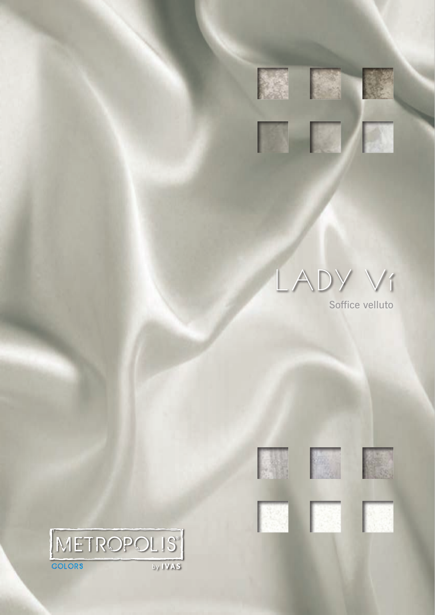

LADY VI

Soffice velluto













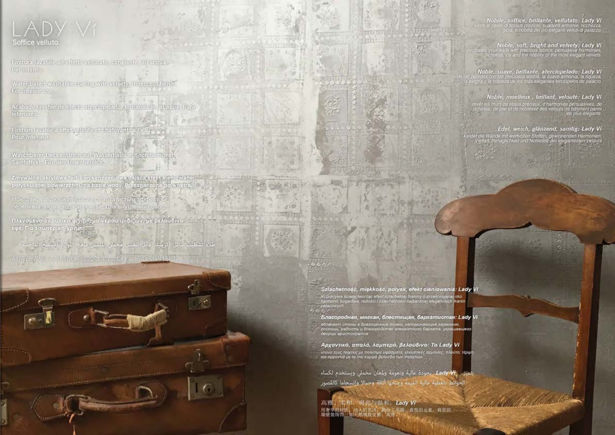## LADY V1 Soffice velluto

Finitura lavabile at crieflo velhibito, eargrante, all'acqua-Par Interno

Water-based washable coping with velvely, misseem finely For interior (Fe)

Acabado lavable de afecto aterciojnskito torristolado, al agua, Para interiores.

Finition lavable a effet valorite of chatoyart, a l'eatr, Pour interieur.

Wasehbarer Deckenstrich auf Wasserbasis mit schillernden. Samtoffekt. Für den Innenbergielt-

Zmywalno, skryjowe ferbi wykonezeniowe ddjelenefolgogichowskej przyj pełyskującej powierzchni, na bazie wody. Przeznaczona do wnorrz

Моющаяся акритовая прависе бархатистый заравитом перепиваются, на водной основе. Для внутренних работ

Πλενομενο ακρυλικό φινίρισμα νερού ιριδίζων, με βελούδινο εφέ. Για εσωτερική χρήση.

طلاء فشطيب سائل أكريليك كابل للغيس مخملي الملمس مععر اللون، للأسطح الداخلية 动污染表面。天长纹和纹光效果,水性,适合室内使用





99 818

 $420$ 医精度 وسكرتهم

Благородная, мягкая, блостящая, бархатистая: Lady Vi абленает стены в драгоценные ткани, напоминающие гармонию.<br>роскошь, радость и благородство элегантного бархата, украшавшего<br>деорцы вристократов

Αρχοντικό, απαλό, λαμπερό, βελούδινο: Το Lady Vi -ντύνει τους τοίχους με πολύτιμα υφάσματα, ελκυστικές αρμονίες, πλούτο, τέρψη<br>και αρχοντιά με τα πιο κομψά βελούδα των παλατιών

يتميز \_/Lady Vf \_\_ يجودة عالية ونعومة ولمعان مخملي ويستخدم لكساء لحوائط بتغطية عالية القيمة ومنحها أنافة وجمالا وانسجاما كالقصور

高雅、全和、明亮与温和, Lady Vi<br>用者华的材料、动人的色泽、画台工作服、高悦的元素, 将您的

Nobile, soffice, brillante, vellutato: Lady Vi ii u nessui preziesi, suauena amione, necnezza.<br>"giola, e nobiltà dei più eleganti vellub di palazzo."

Noble, soft, bright and velvety: Lady Vi s your walls with precious labrics, persoasive harmonies,<br>Inchness, joy and the nobility of the most elegant velvets.

Noble, suave, brillante, aterciopelado: Lady Vi<br>redes con los preciosos leidos, la suave armonia, la riqueza,<br>gría y la nobleza de los más elegantes terciopelos de palacio.

## Noble, moelleux, brillant, velouté: Lady Vi

murs de tissus précieux, d'harmonies persuasives, de<br>de joie et de noblesse des velours de bâtiment parmi,<br>les plus élégants.

## Edel, weich, glänzend, samtig: Lady Vi-

mit wertvollen Stotten, gewinnenden Harmo<br>sglichkeit und Noblesse der efegantesten Vi

<u>tan a d'alta del Californi</u>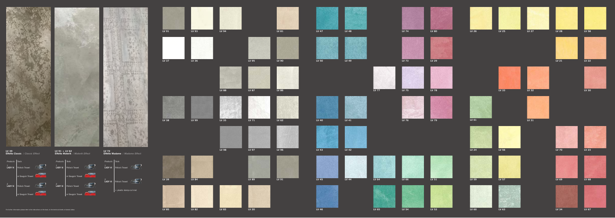**LV 67**



**LV 57 LV 59 LV 69**

























































**LV 98**













- **LV 72**
- **Effetto Madame** */ Madame Effect*

**TEFTY TRAIN** 

**Sold give a min** 

**CE district in the** 















**LV 91 + LV 62** 

**Effetto Materik** */ Materik Effect* 

**LV 39 Effetto Classic** */ Classic Effect* 











*Products Tools*

 $L$ ADY Vi

1 **LADY Vì** Pollock Trowel or Gauguin Trowel *Products Tools*

**LADY Vì** Pollock Trowel

or Gauguin Trowel

1 **LADY Vì** Pollock Trowel

2 **LADY Vì** Pollock Trowel

 $\Big\|$  + plastic stamp-cut mat

*Products Tools*

1 **LADY Vì** Pollock Trowel

or Gauguin Trowel

2 **LADY Vì** Pollock Trowel

or Gauguin Trowel